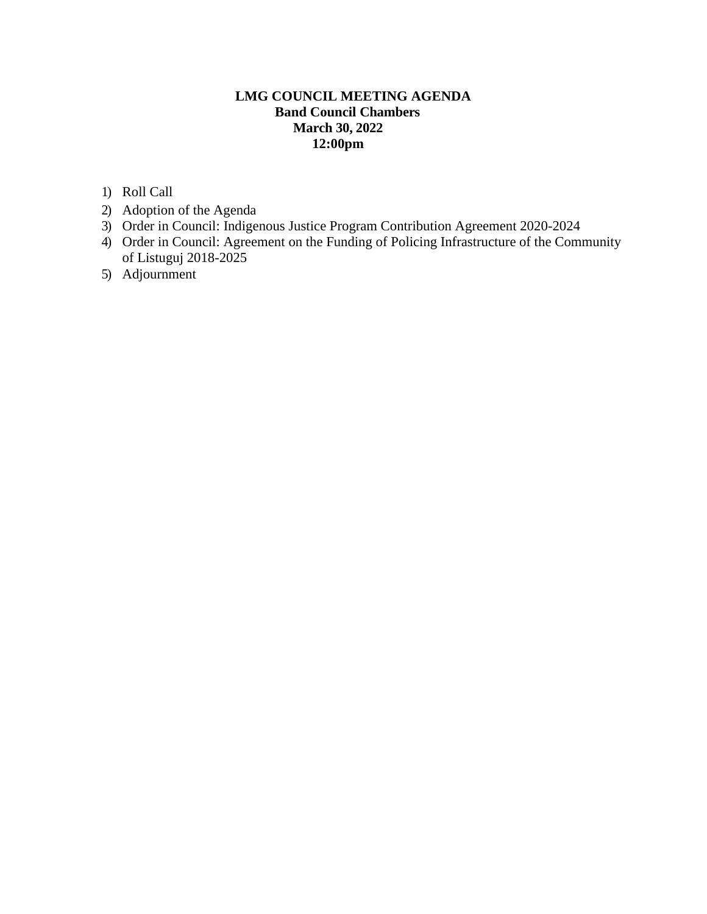# **LMG COUNCIL MEETING AGENDA Band Council Chambers March 30, 2022 12:00pm**

- 1) Roll Call
- 2) Adoption of the Agenda
- 3) Order in Council: Indigenous Justice Program Contribution Agreement 2020-2024
- 4) Order in Council: Agreement on the Funding of Policing Infrastructure of the Community of Listuguj 2018-2025
- 5) Adjournment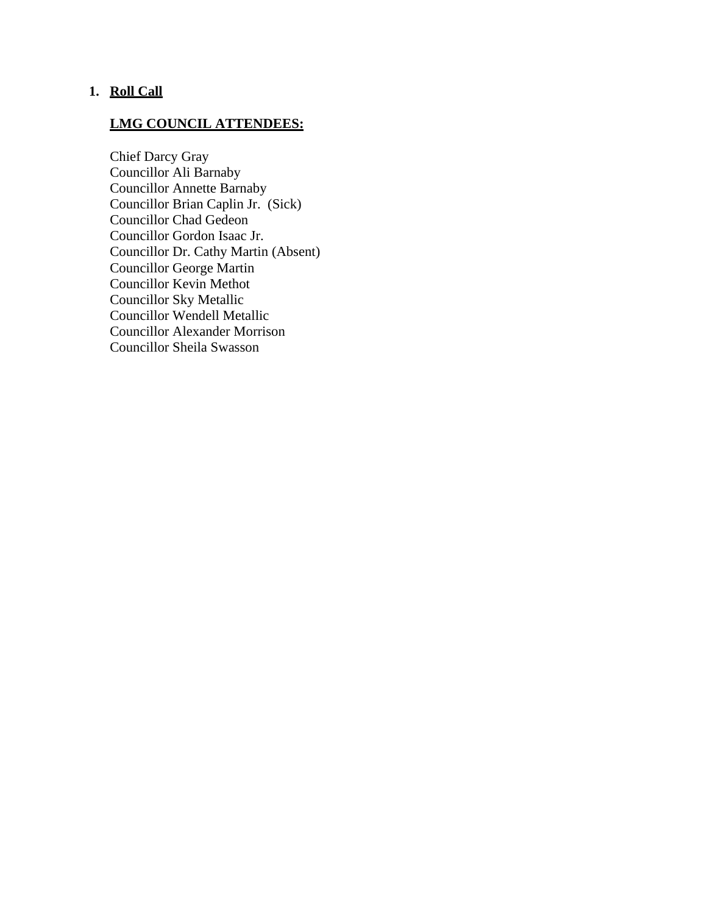# **1. Roll Call**

# **LMG COUNCIL ATTENDEES:**

Chief Darcy Gray Councillor Ali Barnaby Councillor Annette Barnaby Councillor Brian Caplin Jr. (Sick) Councillor Chad Gedeon Councillor Gordon Isaac Jr. Councillor Dr. Cathy Martin (Absent) Councillor George Martin Councillor Kevin Methot Councillor Sky Metallic Councillor Wendell Metallic Councillor Alexander Morrison Councillor Sheila Swasson